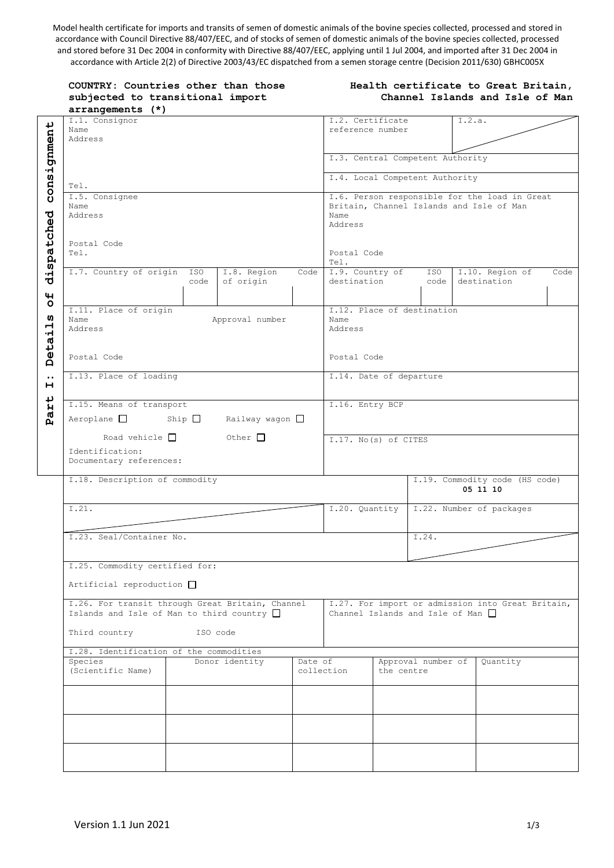Model health certificate for imports and transits of semen of domestic animals of the bovine species collected, processed and stored in accordance with Council Directive 88/407/EEC, and of stocks of semen of domestic animals of the bovine species collected, processed and stored before 31 Dec 2004 in conformity with Directive 88/407/EEC, applying until 1 Jul 2004, and imported after 31 Dec 2004 in accordance with Article 2(2) of Directive 2003/43/EC dispatched from a semen storage centre (Decision 2011/630) GBHC005X

|                               | COUNTRY: Countries other than those<br>subjected to transitional import<br>arrangements (*)                                      |             |                          |                                            | Health certificate to Great Britain,<br>Channel Islands and Isle of Man |                                                                                                              |             |                                |      |  |
|-------------------------------|----------------------------------------------------------------------------------------------------------------------------------|-------------|--------------------------|--------------------------------------------|-------------------------------------------------------------------------|--------------------------------------------------------------------------------------------------------------|-------------|--------------------------------|------|--|
| ↵<br>Name<br>Address          | I.1. Consignor                                                                                                                   |             |                          |                                            | I.2.a.<br>I.2. Certificate<br>reference number                          |                                                                                                              |             |                                |      |  |
|                               |                                                                                                                                  |             |                          |                                            |                                                                         | I.3. Central Competent Authority                                                                             |             |                                |      |  |
| consignmen<br>Tel.            |                                                                                                                                  |             |                          |                                            |                                                                         | I.4. Local Competent Authority                                                                               |             |                                |      |  |
| Name<br>dispatched<br>Address | I.5. Consignee                                                                                                                   |             |                          |                                            |                                                                         | I.6. Person responsible for the load in Great<br>Britain, Channel Islands and Isle of Man<br>Name<br>Address |             |                                |      |  |
| Tel.                          | Postal Code                                                                                                                      |             |                          |                                            | Postal Code<br>Tel.                                                     |                                                                                                              |             |                                |      |  |
| $\overline{\mathbf{H}}$       | I.7. Country of origin                                                                                                           | ISO<br>code | I.8. Region<br>of origin | Code                                       | I.9. Country of<br>destination                                          |                                                                                                              | ISO<br>code | I.10. Region of<br>destination | Code |  |
| Name<br>Address               | I.11. Place of origin<br>Approval number                                                                                         |             |                          |                                            | I.12. Place of destination<br>Name<br>Address                           |                                                                                                              |             |                                |      |  |
|                               | Postal Code                                                                                                                      |             |                          |                                            |                                                                         | Postal Code                                                                                                  |             |                                |      |  |
|                               | I.13. Place of loading                                                                                                           |             |                          |                                            |                                                                         | I.14. Date of departure                                                                                      |             |                                |      |  |
|                               | I.15. Means of transport<br>$Aeroplane$ $\Box$<br>Ship $\Box$<br>Railway wagon $\Box$                                            |             |                          |                                            | I.16. Entry BCP                                                         |                                                                                                              |             |                                |      |  |
|                               | Road vehicle $\Box$<br>Other $\Box$<br>Identification:<br>Documentary references:                                                |             |                          | I.17. No(s) of CITES                       |                                                                         |                                                                                                              |             |                                |      |  |
|                               | I.18. Description of commodity                                                                                                   |             |                          |                                            |                                                                         | I.19. Commodity code (HS code)<br>05 11 10                                                                   |             |                                |      |  |
| I.21.                         |                                                                                                                                  |             |                          | I.20. Quantity<br>I.22. Number of packages |                                                                         |                                                                                                              |             |                                |      |  |
|                               | I.23. Seal/Container No.                                                                                                         |             |                          |                                            |                                                                         | I.24.                                                                                                        |             |                                |      |  |
|                               | I.25. Commodity certified for:<br>Artificial reproduction $\Box$                                                                 |             |                          |                                            |                                                                         |                                                                                                              |             |                                |      |  |
|                               | I.26. For transit through Great Britain, Channel<br>Islands and Isle of Man to third country $\Box$<br>Third country<br>ISO code |             |                          |                                            |                                                                         | I.27. For import or admission into Great Britain,<br>Channel Islands and Isle of Man $\Box$                  |             |                                |      |  |
|                               | I.28. Identification of the commodities                                                                                          |             |                          |                                            |                                                                         |                                                                                                              |             |                                |      |  |
|                               | Donor identity<br>Species<br>Date of<br>(Scientific Name)                                                                        |             | collection               | Approval number of<br>the centre           |                                                                         | Quantity                                                                                                     |             |                                |      |  |
|                               |                                                                                                                                  |             |                          |                                            |                                                                         |                                                                                                              |             |                                |      |  |
|                               |                                                                                                                                  |             |                          |                                            |                                                                         |                                                                                                              |             |                                |      |  |
|                               |                                                                                                                                  |             |                          |                                            |                                                                         |                                                                                                              |             |                                |      |  |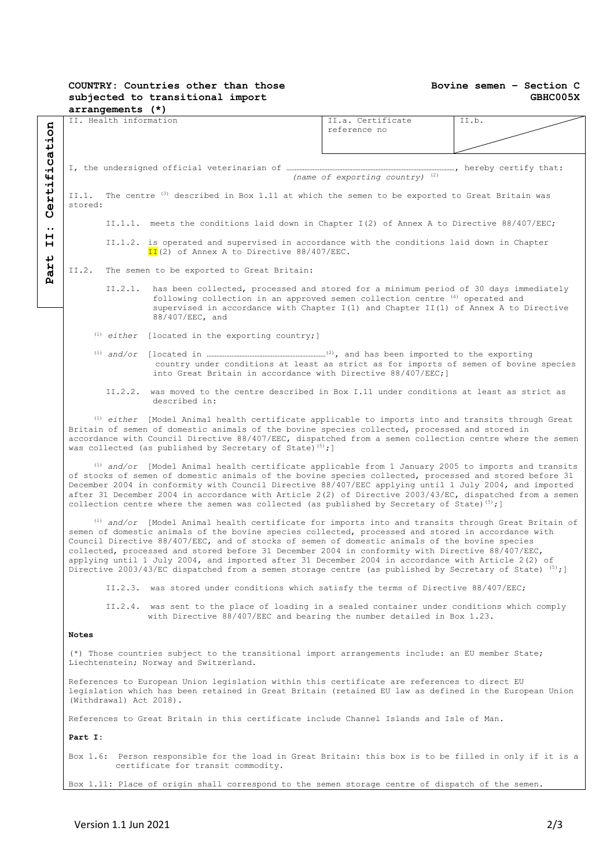## **COUNTRY: Countries other than those subjected to transitional import arrangements (\*)**

## **Bovine semen – Section C GBHC005X**

|                       | arrangements (*)                                                                                                                                                                                                                                                                                                                                                                                                                                                                                                                                                                                                                     |                                                                                            |       |  |  |  |  |  |
|-----------------------|--------------------------------------------------------------------------------------------------------------------------------------------------------------------------------------------------------------------------------------------------------------------------------------------------------------------------------------------------------------------------------------------------------------------------------------------------------------------------------------------------------------------------------------------------------------------------------------------------------------------------------------|--------------------------------------------------------------------------------------------|-------|--|--|--|--|--|
|                       | II. Health information                                                                                                                                                                                                                                                                                                                                                                                                                                                                                                                                                                                                               | II.a. Certificate<br>reference no                                                          | II.b. |  |  |  |  |  |
| fication              | (name of exporting country) $(2)$                                                                                                                                                                                                                                                                                                                                                                                                                                                                                                                                                                                                    |                                                                                            |       |  |  |  |  |  |
| erti                  | II.1. The centre <sup>(3)</sup> described in Box 1.11 at which the semen to be exported to Great Britain was<br>stored:                                                                                                                                                                                                                                                                                                                                                                                                                                                                                                              |                                                                                            |       |  |  |  |  |  |
| ပ<br>$\bullet\bullet$ |                                                                                                                                                                                                                                                                                                                                                                                                                                                                                                                                                                                                                                      | II.1.1. meets the conditions laid down in Chapter I(2) of Annex A to Directive 88/407/EEC; |       |  |  |  |  |  |
| н<br>н                | II.1.2. is operated and supervised in accordance with the conditions laid down in Chapter<br>$II(2)$ of Annex A to Directive 88/407/EEC.                                                                                                                                                                                                                                                                                                                                                                                                                                                                                             |                                                                                            |       |  |  |  |  |  |
| art                   | II.2. The semen to be exported to Great Britain:                                                                                                                                                                                                                                                                                                                                                                                                                                                                                                                                                                                     |                                                                                            |       |  |  |  |  |  |
| д                     | has been collected, processed and stored for a minimum period of 30 days immediately<br>II.2.1.<br>following collection in an approved semen collection centre (4) operated and<br>supervised in accordance with Chapter I(1) and Chapter II(1) of Annex A to Directive<br>88/407/EEC, and                                                                                                                                                                                                                                                                                                                                           |                                                                                            |       |  |  |  |  |  |
|                       | $(1)$ either [located in the exporting country;]                                                                                                                                                                                                                                                                                                                                                                                                                                                                                                                                                                                     |                                                                                            |       |  |  |  |  |  |
|                       | country under conditions at least as strict as for imports of semen of bovine species<br>into Great Britain in accordance with Directive 88/407/EEC; ]                                                                                                                                                                                                                                                                                                                                                                                                                                                                               |                                                                                            |       |  |  |  |  |  |
|                       | II.2.2. was moved to the centre described in Box I.11 under conditions at least as strict as<br>described in:                                                                                                                                                                                                                                                                                                                                                                                                                                                                                                                        |                                                                                            |       |  |  |  |  |  |
|                       | <sup>(1)</sup> either [Model Animal health certificate applicable to imports into and transits through Great<br>Britain of semen of domestic animals of the bovine species collected, processed and stored in<br>accordance with Council Directive 88/407/EEC, dispatched from a semen collection centre where the semen<br>was collected (as published by Secretary of State) <sup>(5)</sup> ; ]                                                                                                                                                                                                                                    |                                                                                            |       |  |  |  |  |  |
|                       | $^{(1)}$ and/or [Model Animal health certificate applicable from 1 January 2005 to imports and transits<br>of stocks of semen of domestic animals of the bovine species collected, processed and stored before 31<br>December 2004 in conformity with Council Directive 88/407/EEC applying until 1 July 2004, and imported<br>after 31 December 2004 in accordance with Article 2(2) of Directive 2003/43/EC, dispatched from a semen<br>collection centre where the semen was collected (as published by Secretary of State) <sup>(5)</sup> ; ]                                                                                    |                                                                                            |       |  |  |  |  |  |
|                       | $^{(1)}$ and/or [Model Animal health certificate for imports into and transits through Great Britain of<br>semen of domestic animals of the bovine species collected, processed and stored in accordance with<br>Council Directive 88/407/EEC, and of stocks of semen of domestic animals of the bovine species<br>collected, processed and stored before 31 December 2004 in conformity with Directive 88/407/EEC,<br>applying until 1 July 2004, and imported after 31 December 2004 in accordance with Article 2(2) of<br>Directive 2003/43/EC dispatched from a semen storage centre (as published by Secretary of State) (5); ] |                                                                                            |       |  |  |  |  |  |
|                       | II.2.3. was stored under conditions which satisfy the terms of Directive 88/407/EEC;                                                                                                                                                                                                                                                                                                                                                                                                                                                                                                                                                 |                                                                                            |       |  |  |  |  |  |
|                       | II.2.4. was sent to the place of loading in a sealed container under conditions which comply<br>with Directive 88/407/EEC and bearing the number detailed in Box 1.23.                                                                                                                                                                                                                                                                                                                                                                                                                                                               |                                                                                            |       |  |  |  |  |  |
|                       | <b>Notes</b>                                                                                                                                                                                                                                                                                                                                                                                                                                                                                                                                                                                                                         |                                                                                            |       |  |  |  |  |  |
|                       | (*) Those countries subject to the transitional import arrangements include: an EU member State;<br>Liechtenstein; Norway and Switzerland.                                                                                                                                                                                                                                                                                                                                                                                                                                                                                           |                                                                                            |       |  |  |  |  |  |
|                       | References to European Union legislation within this certificate are references to direct EU<br>legislation which has been retained in Great Britain (retained EU law as defined in the European Union<br>(Withdrawal) Act 2018).                                                                                                                                                                                                                                                                                                                                                                                                    |                                                                                            |       |  |  |  |  |  |
|                       | References to Great Britain in this certificate include Channel Islands and Isle of Man.                                                                                                                                                                                                                                                                                                                                                                                                                                                                                                                                             |                                                                                            |       |  |  |  |  |  |
|                       | Part I:                                                                                                                                                                                                                                                                                                                                                                                                                                                                                                                                                                                                                              |                                                                                            |       |  |  |  |  |  |
|                       | Box 1.6: Person responsible for the load in Great Britain: this box is to be filled in only if it is a<br>certificate for transit commodity.                                                                                                                                                                                                                                                                                                                                                                                                                                                                                         |                                                                                            |       |  |  |  |  |  |
|                       | Box 1.11: Place of origin shall correspond to the semen storage centre of dispatch of the semen.                                                                                                                                                                                                                                                                                                                                                                                                                                                                                                                                     |                                                                                            |       |  |  |  |  |  |